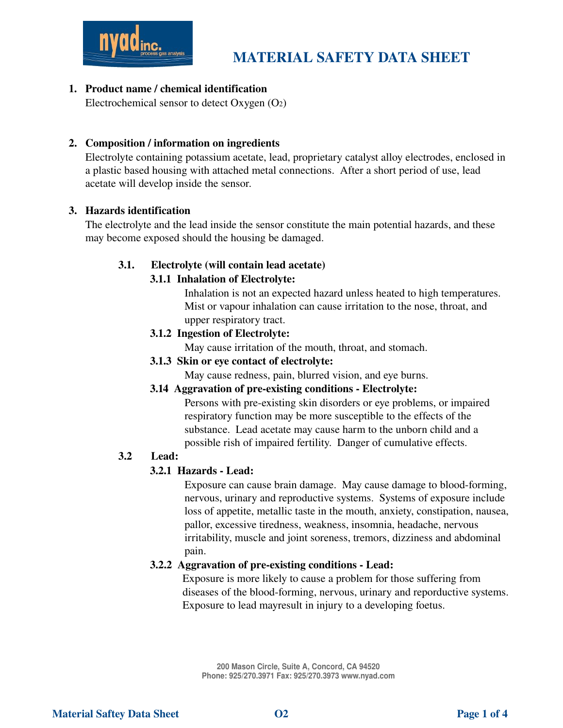

## 1. Product name / chemical identification

Electrochemical sensor to detect Oxygen (O2)

### 2. Composition / information on ingredients

Electrolyte containing potassium acetate, lead, proprietary catalyst alloy electrodes, enclosed in a plastic based housing with attached metal connections. After a short period of use, lead acetate will develop inside the sensor.

#### 3. Hazards identification

The electrolyte and the lead inside the sensor constitute the main potential hazards, and these may become exposed should the housing be damaged.

#### 3.1. Electrolyte (will contain lead acetate)

### 3.1.1 Inhalation of Electrolyte:

Inhalation is not an expected hazard unless heated to high temperatures. Mist or vapour inhalation can cause irritation to the nose, throat, and upper respiratory tract.

### 3.1.2 Ingestion of Electrolyte:

May cause irritation of the mouth, throat, and stomach.

3.1.3 Skin or eye contact of electrolyte:

May cause redness, pain, blurred vision, and eye burns.

#### 3.14 Aggravation of pre-existing conditions - Electrolyte:

Persons with pre-existing skin disorders or eye problems, or impaired respiratory function may be more susceptible to the effects of the substance. Lead acetate may cause harm to the unborn child and a possible rish of impaired fertility. Danger of cumulative effects.

# 3.2 Lead:

## 3.2.1 Hazards - Lead:

Exposure can cause brain damage. May cause damage to blood-forming, nervous, urinary and reproductive systems. Systems of exposure include loss of appetite, metallic taste in the mouth, anxiety, constipation, nausea, pallor, excessive tiredness, weakness, insomnia, headache, nervous irritability, muscle and joint soreness, tremors, dizziness and abdominal pain.

#### 3.2.2 Aggravation of pre-existing conditions - Lead:

Exposure is more likely to cause a problem for those suffering from diseases of the blood-forming, nervous, urinary and reporductive systems. Exposure to lead mayresult in injury to a developing foetus.

**200 Mason Circle, Suite A, Concord, CA 94520 Phone: 925/270.3971 Fax: 925/270.3973 www.nyad.com**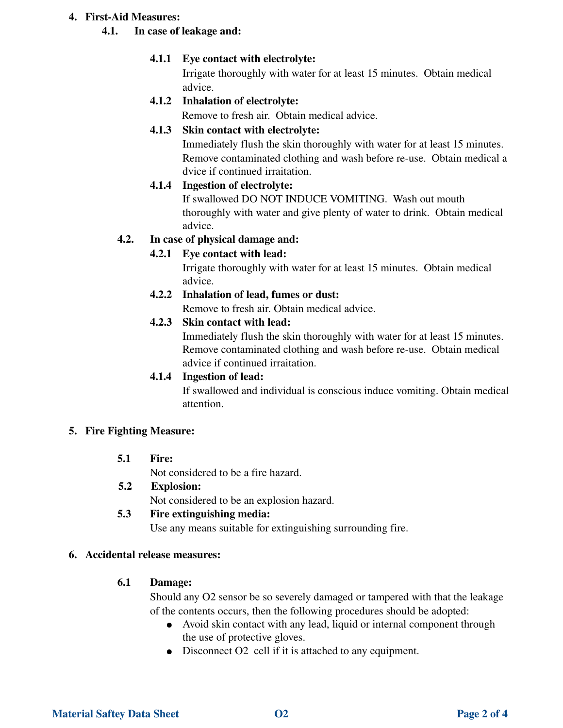#### 4. First-Aid Measures:

### 4.1. In case of leakage and:

## 4.1.1 Eye contact with electrolyte:

 Irrigate thoroughly with water for at least 15 minutes. Obtain medical advice.

# 4.1.2 Inhalation of electrolyte:

Remove to fresh air. Obtain medical advice.

# 4.1.3 Skin contact with electrolyte:

 Immediately flush the skin thoroughly with water for at least 15 minutes. Remove contaminated clothing and wash before re-use. Obtain medical a dvice if continued irraitation.

# 4.1.4 Ingestion of electrolyte:

If swallowed DO NOT INDUCE VOMITING. Wash out mouth thoroughly with water and give plenty of water to drink. Obtain medical advice.

# 4.2. In case of physical damage and:

# 4.2.1 Eye contact with lead:

 Irrigate thoroughly with water for at least 15 minutes. Obtain medical advice.

# 4.2.2 Inhalation of lead, fumes or dust:

Remove to fresh air. Obtain medical advice.

## 4.2.3 Skin contact with lead:

 Immediately flush the skin thoroughly with water for at least 15 minutes. Remove contaminated clothing and wash before re-use. Obtain medical advice if continued irraitation.

## 4.1.4 Ingestion of lead:

If swallowed and individual is conscious induce vomiting. Obtain medical attention.

## 5. Fire Fighting Measure:

## 5.1 Fire:

Not considered to be a fire hazard.

## 5.2 Explosion:

Not considered to be an explosion hazard.

# 5.3 Fire extinguishing media:

Use any means suitable for extinguishing surrounding fire.

## 6. Accidental release measures:

## 6.1 Damage:

 Should any O2 sensor be so severely damaged or tampered with that the leakage of the contents occurs, then the following procedures should be adopted:

- Avoid skin contact with any lead, liquid or internal component through the use of protective gloves.
- Disconnect O2 cell if it is attached to any equipment.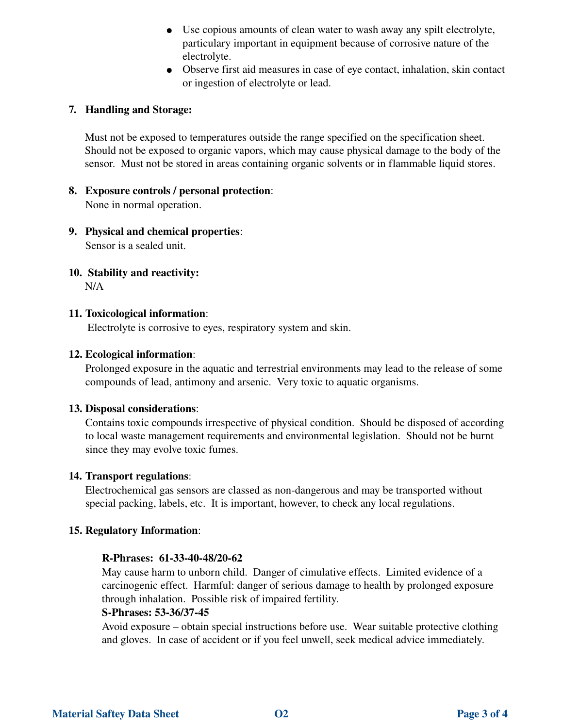- Use copious amounts of clean water to wash away any spilt electrolyte, particulary important in equipment because of corrosive nature of the electrolyte.
- Observe first aid measures in case of eye contact, inhalation, skin contact or ingestion of electrolyte or lead.

#### 7. Handling and Storage:

Must not be exposed to temperatures outside the range specified on the specification sheet. Should not be exposed to organic vapors, which may cause physical damage to the body of the sensor. Must not be stored in areas containing organic solvents or in flammable liquid stores.

### 8. Exposure controls / personal protection:

None in normal operation.

## 9. Physical and chemical properties:

Sensor is a sealed unit.

## 10. Stability and reactivity:

N/A

#### 11. Toxicological information:

Electrolyte is corrosive to eyes, respiratory system and skin.

### 12. Ecological information:

Prolonged exposure in the aquatic and terrestrial environments may lead to the release of some compounds of lead, antimony and arsenic. Very toxic to aquatic organisms.

#### 13. Disposal considerations:

Contains toxic compounds irrespective of physical condition. Should be disposed of according to local waste management requirements and environmental legislation. Should not be burnt since they may evolve toxic fumes.

#### 14. Transport regulations:

Electrochemical gas sensors are classed as non-dangerous and may be transported without special packing, labels, etc. It is important, however, to check any local regulations.

#### 15. Regulatory Information:

#### R-Phrases: 61-33-40-48/20-62

May cause harm to unborn child. Danger of cimulative effects. Limited evidence of a carcinogenic effect. Harmful: danger of serious damage to health by prolonged exposure through inhalation. Possible risk of impaired fertility.

#### S-Phrases: 53-36/37-45

Avoid exposure – obtain special instructions before use. Wear suitable protective clothing and gloves. In case of accident or if you feel unwell, seek medical advice immediately.